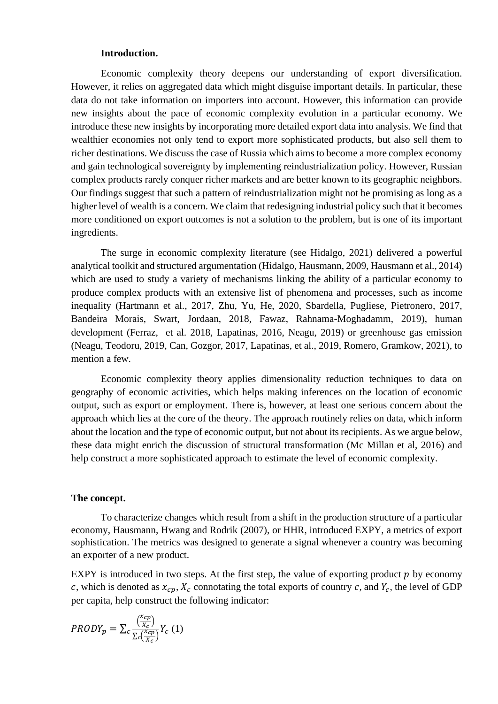## **Introduction.**

Economic complexity theory deepens our understanding of export diversification. However, it relies on aggregated data which might disguise important details. In particular, these data do not take information on importers into account. However, this information can provide new insights about the pace of economic complexity evolution in a particular economy. We introduce these new insights by incorporating more detailed export data into analysis. We find that wealthier economies not only tend to export more sophisticated products, but also sell them to richer destinations. We discuss the case of Russia which aims to become a more complex economy and gain technological sovereignty by implementing reindustrialization policy. However, Russian complex products rarely conquer richer markets and are better known to its geographic neighbors. Our findings suggest that such a pattern of reindustrialization might not be promising as long as a higher level of wealth is a concern. We claim that redesigning industrial policy such that it becomes more conditioned on export outcomes is not a solution to the problem, but is one of its important ingredients.

The surge in economic complexity literature (see Hidalgo, 2021) delivered a powerful analytical toolkit and structured argumentation (Hidalgo, Hausmann, 2009, Hausmann et al., 2014) which are used to study a variety of mechanisms linking the ability of a particular economy to produce complex products with an extensive list of phenomena and processes, such as income inequality (Hartmann et al., 2017, Zhu, Yu, He, 2020, Sbardella, Pugliese, Pietronero, 2017, Bandeira Morais, Swart, Jordaan, 2018, Fawaz, Rahnama-Moghadamm, 2019), human development (Ferraz, et al. 2018, Lapatinas, 2016, Neagu, 2019) or greenhouse gas emission (Neagu, Teodoru, 2019, Can, Gozgor, 2017, Lapatinas, et al., 2019, Romero, Gramkow, 2021), to mention a few.

Economic complexity theory applies dimensionality reduction techniques to data on geography of economic activities, which helps making inferences on the location of economic output, such as export or employment. There is, however, at least one serious concern about the approach which lies at the core of the theory. The approach routinely relies on data, which inform about the location and the type of economic output, but not about its recipients. As we argue below, these data might enrich the discussion of structural transformation (Mc Millan et al, 2016) and help construct a more sophisticated approach to estimate the level of economic complexity.

## **The concept.**

To characterize changes which result from a shift in the production structure of a particular economy, Hausmann, Hwang and Rodrik (2007), or HHR, introduced EXPY, a metrics of export sophistication. The metrics was designed to generate a signal whenever a country was becoming an exporter of a new product.

EXPY is introduced in two steps. At the first step, the value of exporting product  $p$  by economy c, which is denoted as  $x_{cp}$ ,  $X_c$  connotating the total exports of country c, and  $Y_c$ , the level of GDP per capita, help construct the following indicator:

$$
PRODY_p = \sum_{c} \frac{\left(\frac{x_{cp}}{X_c}\right)}{\sum_{c} \left(\frac{x_{cp}}{X_c}\right)} Y_c \ (1)
$$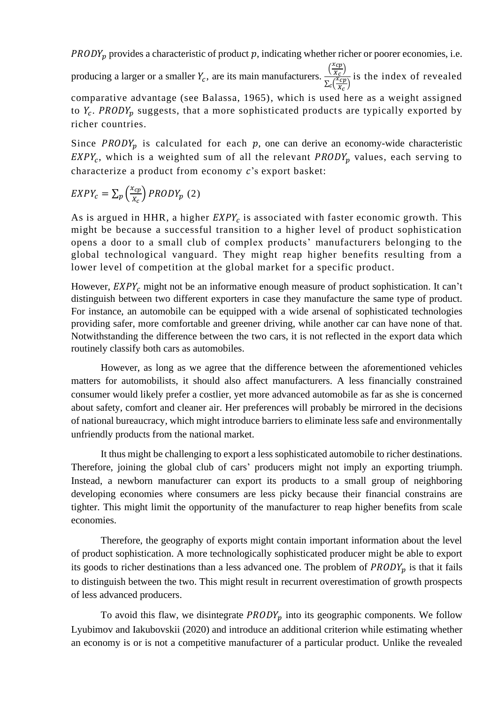$PRODY<sub>p</sub>$  provides a characteristic of product  $p$ , indicating whether richer or poorer economies, i.e.

producing a larger or a smaller  $Y_c$ , are its main manufacturers.  $\frac{\left(\frac{X_{cp}}{X_c}\right)^2}{\sum_{r} \frac{X_{cp}}{x_{rc}}}$  $\frac{C_{\nu}(\mu)}{X_{\mathcal{C}}}$  $\sum_{c} \left(\frac{x_{cp}}{v}\right)$  $c\left(\frac{c}{X_c}\right)$ is the index of revealed

comparative advantage (see Balassa, 1965), which is used here as a weight assigned to  $Y_c$ . PRODY<sub>p</sub> suggests, that a more sophisticated products are typically exported by richer countries.

Since  $PRODY_n$  is calculated for each p, one can derive an economy-wide characteristic  $EXPY_c$ , which is a weighted sum of all the relevant  $PRODY_p$  values, each serving to characterize a product from economy  $c$ 's export basket:

$$
EXPY_c = \sum_{p} \left(\frac{x_{cp}}{x_c}\right) PRODY_p(2)
$$

As is argued in HHR, a higher  $EXPY_c$  is associated with faster economic growth. This might be because a successful transition to a higher level of product sophistication opens a door to a small club of complex products' manufacturers belonging to the global technological vanguard. They might reap higher benefits resulting from a lower level of competition at the global market for a specific product.

However,  $EXPY_c$  might not be an informative enough measure of product sophistication. It can't distinguish between two different exporters in case they manufacture the same type of product. For instance, an automobile can be equipped with a wide arsenal of sophisticated technologies providing safer, more comfortable and greener driving, while another car can have none of that. Notwithstanding the difference between the two cars, it is not reflected in the export data which routinely classify both cars as automobiles.

However, as long as we agree that the difference between the aforementioned vehicles matters for automobilists, it should also affect manufacturers. A less financially constrained consumer would likely prefer a costlier, yet more advanced automobile as far as she is concerned about safety, comfort and cleaner air. Her preferences will probably be mirrored in the decisions of national bureaucracy, which might introduce barriers to eliminate less safe and environmentally unfriendly products from the national market.

It thus might be challenging to export a less sophisticated automobile to richer destinations. Therefore, joining the global club of cars' producers might not imply an exporting triumph. Instead, a newborn manufacturer can export its products to a small group of neighboring developing economies where consumers are less picky because their financial constrains are tighter. This might limit the opportunity of the manufacturer to reap higher benefits from scale economies.

Therefore, the geography of exports might contain important information about the level of product sophistication. A more technologically sophisticated producer might be able to export its goods to richer destinations than a less advanced one. The problem of  $PRODY_p$  is that it fails to distinguish between the two. This might result in recurrent overestimation of growth prospects of less advanced producers.

To avoid this flaw, we disintegrate  $PRODY_p$  into its geographic components. We follow Lyubimov and Iakubovskii (2020) and introduce an additional criterion while estimating whether an economy is or is not a competitive manufacturer of a particular product. Unlike the revealed